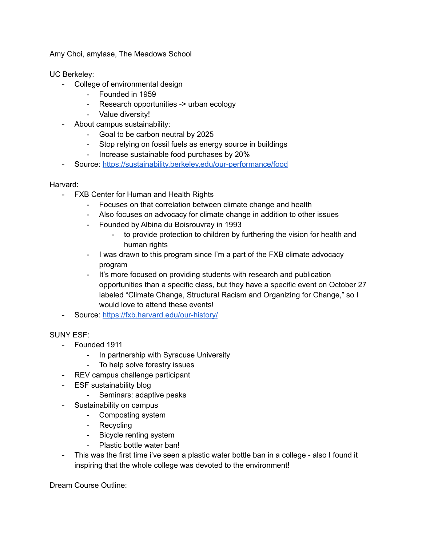Amy Choi, amylase, The Meadows School

UC Berkeley:

- College of environmental design
	- Founded in 1959
	- Research opportunities -> urban ecology
	- Value diversity!
- About campus sustainability:
	- Goal to be carbon neutral by 2025
	- Stop relying on fossil fuels as energy source in buildings
	- Increase sustainable food purchases by 20%
- Source: <https://sustainability.berkeley.edu/our-performance/food>

## Harvard:

- FXB Center for Human and Health Rights
	- Focuses on that correlation between climate change and health
	- Also focuses on advocacy for climate change in addition to other issues
	- Founded by Albina du Boisrouvray in 1993
		- to provide protection to children by furthering the vision for health and human rights
	- I was drawn to this program since I'm a part of the FXB climate advocacy program
	- It's more focused on providing students with research and publication opportunities than a specific class, but they have a specific event on October 27 labeled "Climate Change, Structural Racism and Organizing for Change," so I would love to attend these events!
- Source: <https://fxb.harvard.edu/our-history/>

SUNY ESF:

- Founded 1911
	- In partnership with Syracuse University
	- To help solve forestry issues
- REV campus challenge participant
- ESF sustainability blog
	- Seminars: adaptive peaks
- Sustainability on campus
	- Composting system
	- Recycling
	- Bicycle renting system
	- Plastic bottle water ban!
- This was the first time i've seen a plastic water bottle ban in a college also I found it inspiring that the whole college was devoted to the environment!

Dream Course Outline: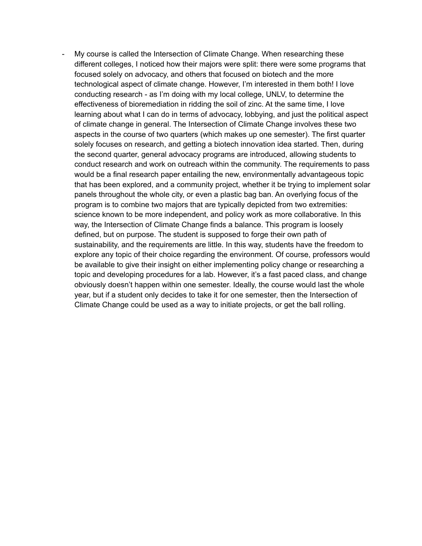My course is called the Intersection of Climate Change. When researching these different colleges, I noticed how their majors were split: there were some programs that focused solely on advocacy, and others that focused on biotech and the more technological aspect of climate change. However, I'm interested in them both! I love conducting research - as I'm doing with my local college, UNLV, to determine the effectiveness of bioremediation in ridding the soil of zinc. At the same time, I love learning about what I can do in terms of advocacy, lobbying, and just the political aspect of climate change in general. The Intersection of Climate Change involves these two aspects in the course of two quarters (which makes up one semester). The first quarter solely focuses on research, and getting a biotech innovation idea started. Then, during the second quarter, general advocacy programs are introduced, allowing students to conduct research and work on outreach within the community. The requirements to pass would be a final research paper entailing the new, environmentally advantageous topic that has been explored, and a community project, whether it be trying to implement solar panels throughout the whole city, or even a plastic bag ban. An overlying focus of the program is to combine two majors that are typically depicted from two extremities: science known to be more independent, and policy work as more collaborative. In this way, the Intersection of Climate Change finds a balance. This program is loosely defined, but on purpose. The student is supposed to forge their own path of sustainability, and the requirements are little. In this way, students have the freedom to explore any topic of their choice regarding the environment. Of course, professors would be available to give their insight on either implementing policy change or researching a topic and developing procedures for a lab. However, it's a fast paced class, and change obviously doesn't happen within one semester. Ideally, the course would last the whole year, but if a student only decides to take it for one semester, then the Intersection of Climate Change could be used as a way to initiate projects, or get the ball rolling.